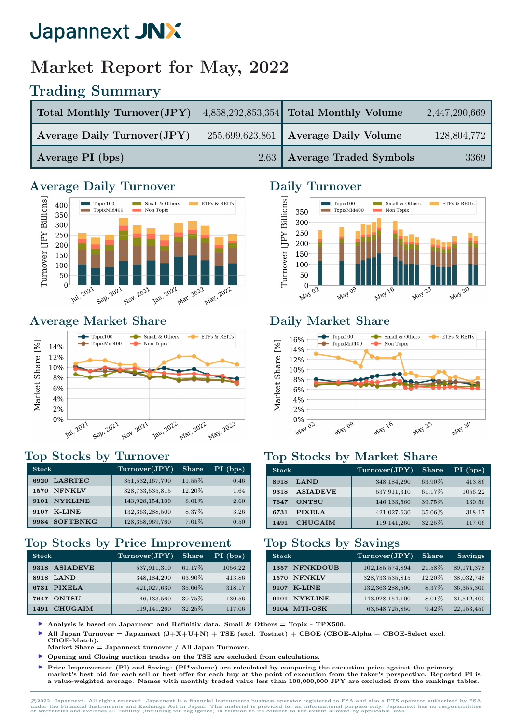# Market Report for May, 2022

### Trading Summary

| Total Monthly Turnover(JPY) 4,858,292,853,354 Total Monthly Volume |                                          | 2,447,290,669 |
|--------------------------------------------------------------------|------------------------------------------|---------------|
| <b>Average Daily Turnover (JPY)</b>                                | $255,699,623,861$   Average Daily Volume | 128,804,772   |
| Average PI (bps)                                                   | 2.63   Average Traded Symbols            | 3369          |

#### Average Daily Turnover Daily Turnover



#### Average Market Share Daily Market Share



#### Top Stocks by Turnover

| <b>Stock</b>            | Turnover(JPY)   | <b>Share</b> | $PI$ (bps) |
|-------------------------|-----------------|--------------|------------|
| <b>LASRTEC</b><br>6920  | 351,532,167,790 | 11.55%       | 0.46       |
| <b>NFNKLV</b><br>1570   | 328,733,535,815 | 12.20%       | 1.64       |
| <b>NYKLINE</b><br>9101  | 143,928,154,100 | 8.01%        | 2.60       |
| <b>K-LINE</b><br>9107   | 132,363,288,500 | 8.37%        | 3.26       |
| <b>SOFTBNKG</b><br>9984 | 128,358,969,760 | 7.01%        | 0.50       |

## Top Stocks by Price Improvement

| <b>Stock</b>            | Turnover(JPY) | <b>Share</b> | $PI$ (bps) |
|-------------------------|---------------|--------------|------------|
| <b>ASIADEVE</b><br>9318 | 537,911,310   | 61.17%       | 1056.22    |
| <b>LAND</b><br>8918     | 348,184,290   | 63.90%       | 413.86     |
| 6731 PIXELA             | 421,027,630   | 35.06%       | 318.17     |
| <b>ONTSU</b><br>7647    | 146,133,560   | 39.75%       | 130.56     |
| <b>CHUGAIM</b><br>1491  | 119,141,260   | 32.25%       | 117.06     |





#### Top Stocks by Market Share

| <b>Stock</b> |                 | Turnover(JPY) | <b>Share</b> | PI (bps) |
|--------------|-----------------|---------------|--------------|----------|
| 8918         | <b>LAND</b>     | 348,184,290   | 63.90%       | 413.86   |
| 9318         | <b>ASIADEVE</b> | 537,911,310   | 61.17%       | 1056.22  |
| 7647         | <b>ONTSU</b>    | 146,133,560   | 39.75%       | 130.56   |
| 6731         | <b>PIXELA</b>   | 421,027,630   | 35.06%       | 318.17   |
| 1491         | <b>CHUGAIM</b>  | 119,141,260   | 32.25%       | 117.06   |

### Top Stocks by Savings

| <b>Stock</b>            | Turnover(JPY)      | <b>Share</b> | Savings    |
|-------------------------|--------------------|--------------|------------|
| <b>NFNKDOUB</b><br>1357 | 102, 185, 574, 894 | 21.58%       | 89,171,378 |
| <b>NFNKLV</b><br>1570   | 328,733,535,815    | 12.20%       | 38,032,748 |
| <b>K-LINE</b><br>9107   | 132, 363, 288, 500 | 8.37%        | 36,355,300 |
| <b>NYKLINE</b><br>9101  | 143,928,154,100    | 8.01%        | 31,512,400 |
| <b>MTI-OSK</b><br>9104  | 63, 548, 725, 850  | 9.42%        | 22,153,450 |

Analysis is based on Japannext and Refinitiv data. Small & Others = Topix - TPX500.

All Japan Turnover = Japannext  $(J+X+U+N)$  + TSE (excl. Tostnet) + CBOE (CBOE-Alpha + CBOE-Select excl.

- CBOE-Match). Market Share = Japannext turnover / All Japan Turnover.
- I Opening and Closing auction trades on the TSE are excluded from calculations.

I Price Improvement (PI) and Savings (PI\*volume) are calculated by comparing the execution price against the primary market's best bid for each sell or best offer for each buy at the point of execution from the taker's perspective. Reported PI is a value-weighted average. Names with monthly traded value less than 100,000,000 JPY are excluded from the rankings tables.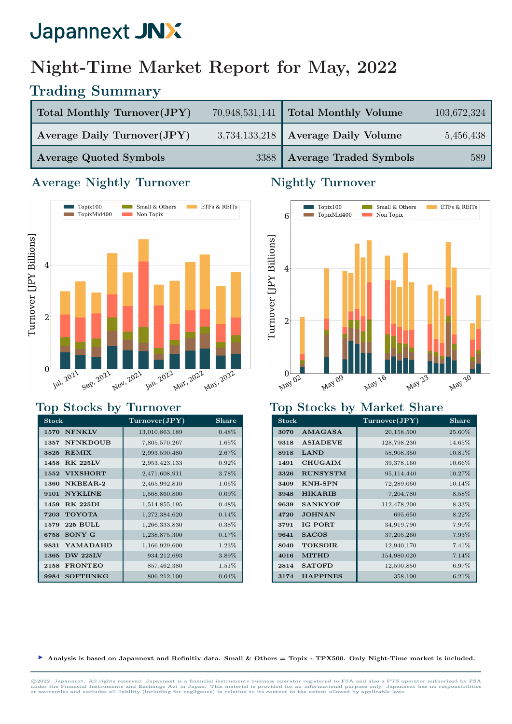# Night-Time Market Report for May, 2022

### Trading Summary

| Total Monthly Turnover (JPY)        | 70,948,531,141 | Total Monthly Volume                 | 103,672,324 |
|-------------------------------------|----------------|--------------------------------------|-------------|
| <b>Average Daily Turnover (JPY)</b> |                | $3,734,133,218$ Average Daily Volume | 5,456,438   |
| <b>Average Quoted Symbols</b>       | 3388           | Average Traded Symbols               | 589         |

#### Average Nightly Turnover P Nightly Turnover



#### Top Stocks by Turnover

| <b>Stock</b>            | Turnover(JPY)  | Share    |
|-------------------------|----------------|----------|
| <b>NFNKLV</b><br>1570   | 13,010,863,189 | $0.48\%$ |
| <b>NFNKDOUB</b><br>1357 | 7,805,570,267  | 1.65%    |
| <b>REMIX</b><br>3825    | 2,993,590,480  | 2.67%    |
| <b>RK 225LV</b><br>1458 | 2,953,423,133  | 0.92%    |
| <b>VIXSHORT</b><br>1552 | 2,471,608,911  | 3.78%    |
| NKBEAR-2<br>1360        | 2,465,992,810  | 1.05%    |
| <b>NYKLINE</b><br>9101  | 1,568,860,800  | $0.09\%$ |
| <b>RK 225DI</b><br>1459 | 1,514,855,195  | 0.48%    |
| <b>TOYOTA</b><br>7203   | 1,272,384,620  | 0.14%    |
| <b>225 BULL</b><br>1579 | 1,266,333,830  | 0.38%    |
| SONY G<br>6758          | 1,238,875,300  | 0.17%    |
| YAMADAHD<br>9831        | 1,166,929,600  | 1.23%    |
| <b>DW 225LV</b><br>1365 | 934,212,693    | 3.89%    |
| <b>FRONTEO</b><br>2158  | 857,462,380    | 1.51%    |
| <b>SOFTBNKG</b><br>9984 | 806,212,100    | 0.04%    |



#### Top Stocks by Market Share

| <b>Stock</b>            | Turnover(JPY) | <b>Share</b> |
|-------------------------|---------------|--------------|
| 3070<br>AMAGASA         | 20,158,500    | 25.60%       |
| <b>ASIADEVE</b><br>9318 | 128,798,230   | 14.65%       |
| <b>LAND</b><br>8918     | 58,908,350    | 10.81%       |
| <b>CHUGAIM</b><br>1491  | 39,378,160    | $10.66\%$    |
| <b>RUNSYSTM</b><br>3326 | 95,114,440    | 10.27%       |
| <b>KNH-SPN</b><br>3409  | 72,289,060    | 10.14\%      |
| 3948<br><b>HIKARIB</b>  | 7,204,780     | 8.58%        |
| <b>SANKYOF</b><br>9639  | 112,478,200   | 8.33%        |
| <b>JOHNAN</b><br>4720   | 695,650       | 8.22%        |
| <b>IG PORT</b><br>3791  | 34,919,790    | 7.99%        |
| <b>SACOS</b><br>9641    | 37,205,260    | 7.93%        |
| <b>TOKSOIR</b><br>8040  | 12,940,170    | 7.41%        |
| <b>MITHD</b><br>4016    | 154,980,020   | 7.14%        |
| <b>SATOFD</b><br>2814   | 12,590,850    | 6.97%        |
| <b>HAPPINES</b><br>3174 | 358,100       | 6.21%        |

▶ Analysis is based on Japannext and Refinitiv data. Small & Others = Topix - TPX500. Only Night-Time market is included.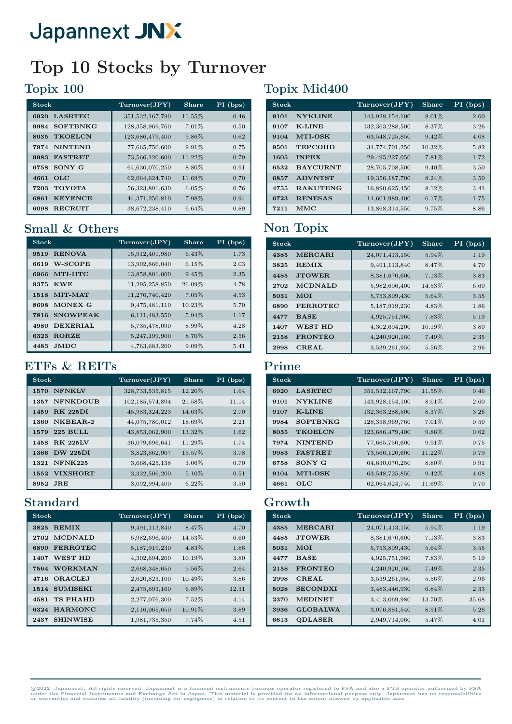# Top 10 Stocks by Turnover

#### Topix 100

| <b>Stock</b>            | Turnover(JPY)      | Share    | $PI$ (bps) |
|-------------------------|--------------------|----------|------------|
| <b>LASRTEC</b><br>6920  | 351, 532, 167, 790 | 11.55%   | 0.46       |
| <b>SOFTBNKG</b><br>9984 | 128,358,969,760    | 7.01%    | 0.50       |
| <b>TKOELCN</b><br>8035  | 123,686,479,400    | 9.86%    | 0.62       |
| 7974 NINTEND            | 77,665,750,600     | 9.91%    | 0.75       |
| <b>FASTRET</b><br>9983  | 73,566,120,600     | 11.22%   | 0.79       |
| SONY G<br>6758          | 64,630,070,250     | 8.80%    | 0.91       |
| $_{\rm OLC}$<br>4661    | 62,064,624,740     | 11.69%   | 0.70       |
| <b>TOYOTA</b><br>7203   | 56,323,891,630     | 6.05%    | 0.76       |
| <b>KEYENCE</b><br>6861  | 44,371,250,810     | 7.98%    | 0.94       |
| <b>RECRUIT</b><br>6098  | 38,672,238,410     | $6.64\%$ | 0.89       |

#### Small & Others

| Stock                   | Turnover(JPY)  | <b>Share</b> | PI (bps) |
|-------------------------|----------------|--------------|----------|
| <b>RENOVA</b><br>9519   | 15,912,401,980 | 6.43%        | 1.73     |
| <b>W-SCOPE</b><br>6619  | 13,902,866,040 | 6.15%        | 2.03     |
| MTI-HTC<br>6966         | 13,858,801,000 | 9.45%        | 2.35     |
| <b>KWE</b><br>9375      | 11,295,258,850 | 26.09%       | 4.78     |
| MIT-MAT<br>1518         | 11,276,740,420 | 7.05%        | 4.53     |
| <b>MONEX G</b><br>8698  | 9,475,481,110  | 10.23%       | 5.70     |
| <b>SNOWPEAK</b><br>7816 | 6,111,483,550  | 5.94%        | 1.17     |
| <b>DEXERIAL</b><br>4980 | 5,735,478,090  | 8.99%        | 4.28     |
| <b>RORZE</b><br>6323    | 5,247,199,900  | 8.70%        | 2.56     |
| 4483<br>JMDC.           | 4,763,683,200  | $9.09\%$     | 5.41     |

#### ETFs & REITs

| <b>Stock</b>            | Turnover(JPY)      | <b>Share</b> | $PI$ (bps) |
|-------------------------|--------------------|--------------|------------|
| <b>NFNKLV</b><br>1570   | 328,733,535,815    | 12.20%       | 1.64       |
| <b>NFNKDOUB</b><br>1357 | 102, 185, 574, 894 | 21.58%       | 11.14      |
| <b>RK 225DI</b><br>1459 | 45,983,324,223     | 14.63%       | 2.70       |
| NKBEAR-2<br>1360        | 44,075,780,012     | 18.69%       | 2.21       |
| <b>225 BULL</b><br>1579 | 43,853,062,900     | 13.32%       | 1.62       |
| <b>RK 225LV</b><br>1458 | 36,079,696,641     | 11.29%       | 1.74       |
| <b>DW 225DI</b><br>1366 | 3,823,862,907      | 15.57%       | 3.78       |
| NFNK225<br>1321         | 3,668,425,138      | 3.06%        | 0.70       |
| <b>VIXSHORT</b><br>1552 | 3,332,506,200      | 5.10%        | 0.51       |
| 8952<br>JRE             | 3,092,994,400      | $6.22\%$     | 3.50       |

### Standard

| <b>Stock</b>            | Turnover(JPY)    | Share    | PI (bps) |
|-------------------------|------------------|----------|----------|
| <b>REMIX</b><br>3825    | 9,491,113,840    | 8.47%    | 4.70     |
| <b>MCDNALD</b><br>2702  | 5,982,696,400    | 14.53%   | 6.60     |
| <b>FERROTEC</b><br>6890 | 5, 187, 919, 230 | 4.83%    | 1.86     |
| <b>WEST HD</b><br>1407  | 4,302,694,200    | 10.19%   | 3.80     |
| <b>WORKMAN</b><br>7564  | 2,668,348,650    | $9.56\%$ | 2.64     |
| <b>ORACLEJ</b><br>4716  | 2,620,823,100    | 10.49%   | 3.86     |
| <b>SUMISEKI</b><br>1514 | 2,475,893,160    | 6.89%    | 12.31    |
| <b>TS PHAHD</b><br>4581 | 2,277,076,300    | 7.52%    | 4.14     |
| <b>HARMONC</b><br>6324  | 2,116,065,650    | 10.91%   | 3.89     |
| <b>SHINWISE</b><br>2437 | 1,981,735,350    | 7.74%    | 4.51     |

### Topix Mid400

| <b>Stock</b>           |                 | Turnover(JPY)     | <b>Share</b> | $PI$ (bps) |
|------------------------|-----------------|-------------------|--------------|------------|
| 9101                   | <b>NYKLINE</b>  | 143,928,154,100   | 8.01%        | 2.60       |
| $K$ -LINE<br>9107      |                 | 132,363,288,500   | 8.37%        | 3.26       |
| <b>MTI-OSK</b><br>9104 |                 | 63, 548, 725, 850 | 9.42%        | 4.08       |
| 9501                   | <b>TEPCOHD</b>  | 34,774,701,250    | 10.32%       | 5.82       |
| <b>INPEX</b><br>1605   |                 | 29,495,227,050    | 7.81%        | 1.72       |
| 6532                   | <b>BAYCURNT</b> | 28,705,708,500    | 9.40%        | 3.50       |
| 6857                   | <b>ADVNTST</b>  | 19,356,187,700    | 8.24%        | 3.50       |
| 4755                   | <b>RAKUTENG</b> | 16,890,625,450    | 8.12%        | 3.41       |
| 6723                   | <b>RENESAS</b>  | 14,601,989,400    | 6.17%        | 1.75       |
| MMC<br>7211            |                 | 13,868,314,550    | 9.75%        | 8.86       |

# Non Topix

| <b>Stock</b> |                 | Turnover(JPY)    | <b>Share</b> | $PI$ (bps) |
|--------------|-----------------|------------------|--------------|------------|
| 4385         | <b>MERCARI</b>  | 24,071,413,150   | 5.94%        | 1.19       |
| 3825         | <b>REMIX</b>    | 9,491,113,840    | 8.47%        | 4.70       |
| 4485         | <b>JTOWER</b>   | 8,381,670,600    | 7.13%        | 3.83       |
| 2702         | <b>MCDNALD</b>  | 5,982,696,400    | 14.53%       | 6.60       |
| 5031         | <b>MOI</b>      | 5,753,899,430    | 5.64%        | 3.55       |
| 6890         | <b>FERROTEC</b> | 5, 187, 919, 230 | 4.83%        | 1.86       |
| 4477         | <b>BASE</b>     | 4,925,751,960    | 7.83%        | 5.19       |
| 1407         | WEST HD         | 4,302,694,200    | 10.19%       | 3.80       |
| 2158         | <b>FRONTEO</b>  | 4,240,920,160    | 7.49%        | 2.35       |
| 2998         | <b>CREAL</b>    | 3,539,261,950    | 5.56%        | 2.96       |

#### Prime

| <b>Stock</b> |                 | Turnover(JPY)      | <b>Share</b> | $PI$ (bps) |
|--------------|-----------------|--------------------|--------------|------------|
| 6920         | <b>LASRTEC</b>  | 351, 532, 167, 790 | 11.55%       | 0.46       |
| 9101         | <b>NYKLINE</b>  | 143,928,154,100    | 8.01%        | 2.60       |
| 9107         | <b>K-LINE</b>   | 132, 363, 288, 500 | 8.37%        | 3.26       |
| 9984         | <b>SOFTBNKG</b> | 128,358,969,760    | 7.01%        | 0.50       |
| 8035         | <b>TKOELCN</b>  | 123,686,479,400    | 9.86%        | 0.62       |
| 7974         | <b>NINTEND</b>  | 77,665,750,600     | 9.91%        | 0.75       |
| 9983         | <b>FASTRET</b>  | 73,566,120,600     | 11.22%       | 0.79       |
| 6758         | SONY G          | 64,630,070,250     | 8.80%        | 0.91       |
| 9104         | <b>MTI-OSK</b>  | 63, 548, 725, 850  | 9.42%        | 4.08       |
| 4661         | OLC.            | 62,064,624,740     | 11.69%       | 0.70       |

#### Growth

| <b>Stock</b> |                 | Turnover(JPY)  | <b>Share</b> | PI (bps) |
|--------------|-----------------|----------------|--------------|----------|
| 4385         | <b>MERCARI</b>  | 24,071,413,150 | 5.94%        | 1.19     |
| 4485         | <b>JTOWER</b>   | 8,381,670,600  | 7.13%        | 3.83     |
| 5031         | <b>MOI</b>      | 5,753,899,430  | 5.64%        | 3.55     |
| 4477         | <b>BASE</b>     | 4,925,751,960  | 7.83%        | 5.19     |
| 2158         | <b>FRONTEO</b>  | 4,240,920,160  | 7.49%        | 2.35     |
| 2998         | <b>CREAL</b>    | 3,539,261,950  | 5.56%        | 2.96     |
| 5028         | <b>SECONDXI</b> | 3,483,446,930  | 6.84%        | 2.33     |
| 2370         | <b>MEDINET</b>  | 3,413,069,980  | 13.70%       | 35.68    |
| 3936         | <b>GLOBALWA</b> | 3,076,881,540  | 8.91%        | 5.28     |
| 6613         | <b>ODLASER</b>  | 2,949,714,060  | 5.47%        | 4.01     |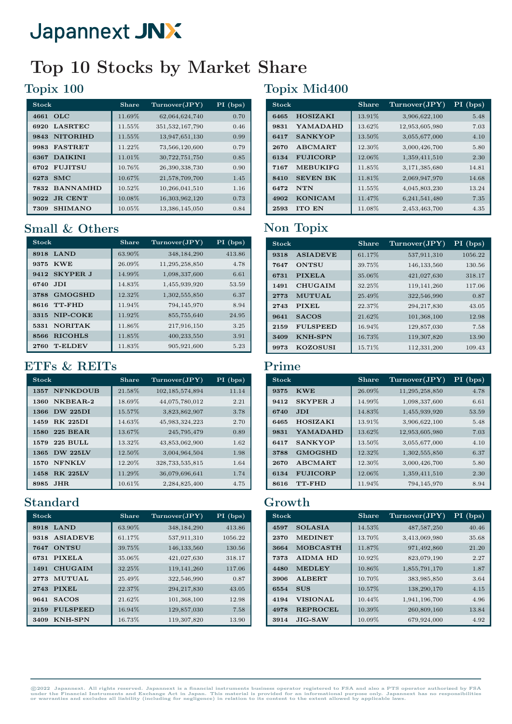# Top 10 Stocks by Market Share

### Topix 100

| <b>Stock</b>            | <b>Share</b> | Turnover(JPY)      | $PI$ (bps) |
|-------------------------|--------------|--------------------|------------|
| OLC<br>4661             | 11.69%       | 62,064,624,740     | 0.70       |
| <b>LASRTEC</b><br>6920  | 11.55%       | 351, 532, 167, 790 | 0.46       |
| <b>NITORIHD</b><br>9843 | 11.55%       | 13,947,651,130     | 0.99       |
| <b>FASTRET</b><br>9983  | 11.22%       | 73,566,120,600     | 0.79       |
| <b>DAIKINI</b><br>6367  | 11.01%       | 30,722,751,750     | 0.85       |
| <b>FUJITSU</b><br>6702  | 10.76%       | 26,390,338,730     | 0.90       |
| SMC<br>6273             | 10.67%       | 21,578,709,700     | 1.45       |
| <b>BANNAMHD</b><br>7832 | 10.52%       | 10,266,041,510     | 1.16       |
| <b>JR. CENT</b><br>9022 | 10.08%       | 16,303,962,120     | 0.73       |
| <b>SHIMANO</b><br>7309  | 10.05%       | 13,386,145,050     | 0.84       |

### Small & Others

| <b>Stock</b>            | Share  | Turnover(JPY)  | $PI$ (bps) |
|-------------------------|--------|----------------|------------|
| <b>LAND</b><br>8918     | 63.90% | 348,184,290    | 413.86     |
| <b>KWE</b><br>9375      | 26.09% | 11,295,258,850 | 4.78       |
| <b>SKYPER J</b><br>9412 | 14.99% | 1,098,337,600  | 6.61       |
| JDI.<br>6740            | 14.83% | 1,455,939,920  | 53.59      |
| <b>GMOGSHD</b><br>3788  | 12.32% | 1,302,555,850  | 6.37       |
| TT-FHD<br>8616          | 11.94% | 794,145,970    | 8.94       |
| NIP-COKE<br>3315        | 11.92% | 855,755,640    | 24.95      |
| <b>NORITAK</b><br>5331  | 11.86% | 217,916,150    | 3.25       |
| <b>RICOHLS</b><br>8566  | 11.85% | 400,233,550    | 3.91       |
| <b>T-ELDEV</b><br>2760  | 11.83% | 905,921,600    | 5.23       |

### ETFs & REITs

| <b>Stock</b>            | <b>Share</b> | Turnover(JPY)      | $PI$ (bps) |
|-------------------------|--------------|--------------------|------------|
| 1357 NFNKDOUB           | 21.58%       | 102, 185, 574, 894 | 11.14      |
| NKBEAR-2<br>1360        | 18.69%       | 44,075,780,012     | 2.21       |
| <b>DW 225DI</b><br>1366 | 15.57%       | 3,823,862,907      | 3.78       |
| <b>RK 225DI</b><br>1459 | 14.63%       | 45,983,324,223     | 2.70       |
| 225 BEAR<br>1580        | 13.67%       | 245,795,479        | 0.89       |
| <b>225 BULL</b><br>1579 | 13.32%       | 43,853,062,900     | 1.62       |
| 1365 DW 225LV           | 12.50%       | 3,004,964,504      | 1.98       |
| <b>NFNKLV</b><br>1570   | 12.20%       | 328,733,535,815    | 1.64       |
| <b>RK 225LV</b><br>1458 | 11.29%       | 36,079,696,641     | 1.74       |
| 8985<br>JHR.            | 10.61%       | 2,284,825,400      | 4.75       |

### Standard

| <b>Stock</b>            | <b>Share</b> | Turnover(JPY) | $PI$ (bps) |
|-------------------------|--------------|---------------|------------|
| <b>LAND</b><br>8918     | 63.90%       | 348, 184, 290 | 413.86     |
| <b>ASIADEVE</b><br>9318 | 61.17%       | 537,911,310   | 1056.22    |
| <b>ONTSU</b><br>7647    | 39.75%       | 146, 133, 560 | 130.56     |
| <b>PIXELA</b><br>6731   | 35.06%       | 421,027,630   | 318.17     |
| <b>CHUGAIM</b><br>1491  | 32.25%       | 119,141,260   | 117.06     |
| <b>MUTUAL</b><br>2773   | 25.49%       | 322,546,990   | 0.87       |
| <b>PIXEL</b><br>2743    | 22.37%       | 294, 217, 830 | 43.05      |
| <b>SACOS</b><br>9641    | 21.62%       | 101,368,100   | 12.98      |
| <b>FULSPEED</b><br>2159 | 16.94%       | 129,857,030   | 7.58       |
| <b>KNH-SPN</b><br>3409  | 16.73%       | 119,307,820   | 13.90      |

# Topix Mid400

| <b>Stock</b> |                 | Share  | Turnover(JPY)  | $PI$ (bps) |
|--------------|-----------------|--------|----------------|------------|
| 6465         | <b>HOSIZAKI</b> | 13.91% | 3,906,622,100  | 5.48       |
| 9831         | YAMADAHD        | 13.62% | 12,953,605,980 | 7.03       |
| 6417         | <b>SANKYOP</b>  | 13.50% | 3,055,677,000  | 4.10       |
| 2670         | <b>ABCMART</b>  | 12.30% | 3,000,426,700  | 5.80       |
| 6134         | <b>FUJICORP</b> | 12.06% | 1,359,411,510  | 2.30       |
| 7167         | <b>MEBUKIFG</b> | 11.85% | 3,171,385,680  | 14.81      |
| 8410         | <b>SEVEN BK</b> | 11.81% | 2,069,947,970  | 14.68      |
| 6472         | <b>NTN</b>      | 11.55% | 4,045,803,230  | 13.24      |
| 4902         | <b>KONICAM</b>  | 11.47% | 6,241,541,480  | 7.35       |
| 2593         | <b>ITO EN</b>   | 11.08% | 2,453,463,700  | 4.35       |

# Non Topix

| <b>Stock</b> |                 | <b>Share</b> | Turnover(JPY) | $PI$ (bps) |
|--------------|-----------------|--------------|---------------|------------|
| 9318         | <b>ASIADEVE</b> | 61.17%       | 537,911,310   | 1056.22    |
| 7647         | <b>ONTSU</b>    | 39.75%       | 146,133,560   | 130.56     |
| 6731         | <b>PIXELA</b>   | 35.06%       | 421,027,630   | 318.17     |
| 1491         | <b>CHUGAIM</b>  | 32.25%       | 119,141,260   | 117.06     |
| 2773         | <b>MUTUAL</b>   | 25.49%       | 322,546,990   | 0.87       |
| 2743         | <b>PIXEL</b>    | 22.37%       | 294,217,830   | 43.05      |
| 9641         | <b>SACOS</b>    | 21.62%       | 101,368,100   | 12.98      |
| 2159         | <b>FULSPEED</b> | 16.94%       | 129,857,030   | 7.58       |
| 3409         | <b>KNH-SPN</b>  | 16.73%       | 119,307,820   | 13.90      |
| 9973         | <b>KOZOSUSI</b> | 15.71%       | 112,331,200   | 109.43     |

#### Prime

| <b>Stock</b>            | Share  | Turnover(JPY)  | $PI$ (bps) |
|-------------------------|--------|----------------|------------|
| <b>KWE</b><br>9375      | 26.09% | 11,295,258,850 | 4.78       |
| <b>SKYPER J</b><br>9412 | 14.99% | 1,098,337,600  | 6.61       |
| <b>JDI</b><br>6740      | 14.83% | 1,455,939,920  | 53.59      |
| <b>HOSIZAKI</b><br>6465 | 13.91% | 3,906,622,100  | 5.48       |
| 9831<br>YAMADAHD        | 13.62% | 12,953,605,980 | 7.03       |
| <b>SANKYOP</b><br>6417  | 13.50% | 3,055,677,000  | 4.10       |
| <b>GMOGSHD</b><br>3788  | 12.32% | 1,302,555,850  | 6.37       |
| <b>ABCMART</b><br>2670  | 12.30% | 3,000,426,700  | 5.80       |
| <b>FUJICORP</b><br>6134 | 12.06% | 1,359,411,510  | 2.30       |
| TT-FHD<br>8616          | 11.94% | 794,145,970    | 8.94       |

#### Growth

| <b>Stock</b> |                 | <b>Share</b> | Turnover(JPY) | $PI$ (bps) |
|--------------|-----------------|--------------|---------------|------------|
| 4597         | <b>SOLASIA</b>  | 14.53%       | 487, 587, 250 | 40.46      |
| 2370         | <b>MEDINET</b>  | 13.70%       | 3,413,069,980 | 35.68      |
| 3664         | <b>MOBCASTH</b> | 11.87%       | 971,492,860   | 21.20      |
| 7373         | <b>AIDMA HD</b> | 10.92%       | 823,079,190   | 2.27       |
| 4480         | <b>MEDLEY</b>   | 10.86%       | 1,855,791,170 | 1.87       |
| 3906         | <b>ALBERT</b>   | 10.70%       | 383,985,850   | 3.64       |
| 6554         | <b>SUS</b>      | 10.57%       | 138,290,170   | 4.15       |
| 4194         | <b>VISIONAL</b> | 10.44%       | 1,941,196,700 | 4.96       |
| 4978         | <b>REPROCEL</b> | 10.39%       | 260,809,160   | 13.84      |
| 3914         | <b>JIG-SAW</b>  | 10.09%       | 679,924,000   | 4.92       |